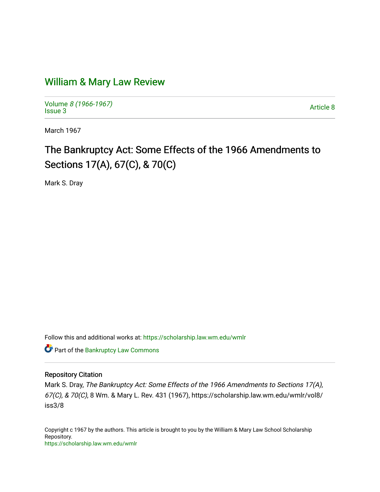# [William & Mary Law Review](https://scholarship.law.wm.edu/wmlr)

Volume [8 \(1966-1967\)](https://scholarship.law.wm.edu/wmlr/vol8)  Notative of the second state of the second state and state and state and state and state and state and state and state and state and state and state and state and state and state and state and state and state and state and

March 1967

# The Bankruptcy Act: Some Effects of the 1966 Amendments to Sections 17(A), 67(C), & 70(C)

Mark S. Dray

Follow this and additional works at: [https://scholarship.law.wm.edu/wmlr](https://scholarship.law.wm.edu/wmlr?utm_source=scholarship.law.wm.edu%2Fwmlr%2Fvol8%2Fiss3%2F8&utm_medium=PDF&utm_campaign=PDFCoverPages)

Part of the [Bankruptcy Law Commons](http://network.bepress.com/hgg/discipline/583?utm_source=scholarship.law.wm.edu%2Fwmlr%2Fvol8%2Fiss3%2F8&utm_medium=PDF&utm_campaign=PDFCoverPages) 

## Repository Citation

Mark S. Dray, The Bankruptcy Act: Some Effects of the 1966 Amendments to Sections 17(A), 67(C), & 70(C), 8 Wm. & Mary L. Rev. 431 (1967), https://scholarship.law.wm.edu/wmlr/vol8/ iss3/8

Copyright c 1967 by the authors. This article is brought to you by the William & Mary Law School Scholarship Repository. <https://scholarship.law.wm.edu/wmlr>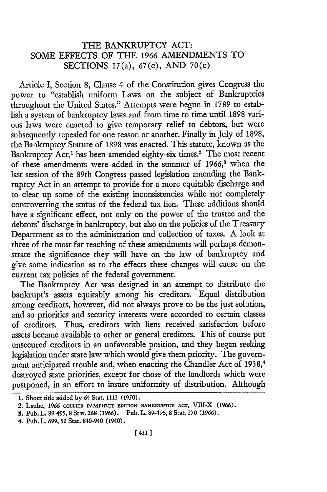# THE BANKRUPTCY ACT: SOME EFFECTS OF THE 1966 AMENDMENTS TO SECTIONS 17(a), 67(c), AND 70(c)

Article I, Section 8, Clause 4 of the Constitution gives Congress the power to "establish uniform Laws on the subject of Bankruptcies throughout the United States." Attempts were begun in 1789 to establish a system of bankruptcy laws and from time to time until 1898 various laws were enacted to give temporary relief to debtors, but were subsequently repealed for one reason or another. Finally in July of 1898, the Bankruptcy Statute of 1898 was enacted. This statute, known as the Bankruptcy Act,<sup>1</sup> has been amended eighty-six times.<sup>2</sup> The most recent of these amendments were added in the summer of 1966,<sup>3</sup> when the last session of the 89th Congress passed legislation amending the Bankruptcy Act in an attempt to provide for a more equitable discharge and to clear up some of the existing inconsistencies while not completely controverting the status of the federal tax lien. These additions should have a significant effect, not only on the power of the trustee and the debtors' discharge in bankruptcy, but also on the policies of the Treasury Department as to the administration and collection of taxes. A look at three of the most far reaching of these amendments will perhaps demonstrate the significance they will have on the law of bankruptcy and give some indication as to the effects these changes will cause on the current tax policies of the federal government.

The Bankruptcy Act was designed in an attempt to distribute the bankrupt's assets equitably among his creditors. Equal distribution among creditors, however, did not always prove to be the just solution, and so priorities and security interests were accorded to certain classes of creditors. Thus, creditors with liens received satisfaction before assets became available to other or general creditors. This of course put unsecured creditors in an unfavorable position, and they began seeking legislation under state law which would give them priority. The government anticipated trouble and, when enacting the Chandler Act of 1938,4 destroyed state priorities, except for those of the landlords which were postponed, in an effort to insure uniformity of distribution. Although

<sup>1.</sup> Short title added by 64 Stat. 1113 (1950).

<sup>2.</sup> Laube, 1966 **COLLmR PAMPHLET** EDITION **BANKRUPTCY ACT,** VIII-X (1966).

**<sup>3.</sup>** Pub. L. 89-495, 8 Stat. **268** (1966). Pub. L. 89-496, 8 Star. **270** (1966).

<sup>4.</sup> Pub. L. 699, **52** Stat. 840-940 (1940).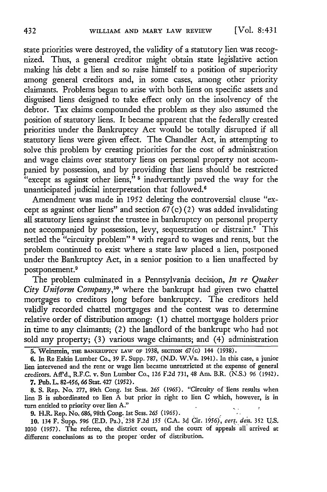state priorities were destroyed, the validity of a statutory lien was recognized. Thus, a general creditor might obtain state legislative action making his debt a lien and so raise himself to a position of superiority among general creditors and, in some cases, among other priority claimants. Problems began to arise with both liens on specific assets and disguised liens designed to take effect only on the insolvency of the debtor. Tax claims compounded the problem as they also assumed the position of statutory liens. It became apparent that the federally created priorities under the Bankruptcy Act would be totally disrupted if all statutory liens were given effect. The Chandler Act, in attempting to solve this problem by creating priorities for the cost of administration and wage claims over statutory liens on personal property not accompanied by possession, and by providing that liens should be restricted "except as against other liens,"  $5$  inadvertantly paved the way for the unanticipated judicial interpretation that followed.<sup>6</sup>

Amendment was made in 1952 deleting the controversial clause "except as against other liens" and section  $67(c)(2)$  was added invalidating all statutory liens against the trustee in bankruptcy on personal property not accompanied by possession, levy, sequestration or distraint.7 This settled the "circuity problem" <sup>8</sup> with regard to wages and rents, but the problem continued to exist where a state law placed a lien, postponed under the Bankruptcy Act, in a senior position to a lien unaffected by postponement.<sup>9</sup>

The problem culminated in a Pennsylvania decision, *In re Quaker* City Uniform Company,<sup>10</sup> where the bankrupt had given two chattel mortgages to creditors long before bankruptcy. The creditors held validly recorded chattel mortgages and the contest was to determine relative order of distribution among: (1) chattel mortgage holders prior in time to any claimants; (2) the landlord of the bankrupt who had not sold any property; (3) various wage claimants; and (4) administration

**9.** H.R. Rep. No, 686,98th Cong. ist Sess. *265* (1965).

10. 134 F. Supp. *596* (E.D. Pa.),238 F.2d *155* (CA. 3d Cir. 1956), *cert. den.* **352** U.S. 1030 (1957). The referee, the district court, and the court of appeals all arrived at different conclusions as to the proper order of distribution.

**<sup>5.</sup>** Weinstein, Tim BANKRUPTCY LAW oF 1938, **sECTIoN** 67(c) 144 (1938).

**<sup>6.</sup>** In Re Eakin Lumber Co., 39 F. Supp. 787, **(N.D.** W.Va. 1941). In this case, a junior lien intervened and the rent or wage lien became unrestricted at the expense of general creditors. **Aff'd.,** R.F.C. v. Sun Lumber Co., 126 **F.2d** 731, 48 Am. B.R. (N.S.) 96 (1942). **7.** Pub. L. **82-456, 66** Stat. 427 (1952).

**<sup>8.</sup> S.** Rep. No. 277, 89th Cong. 1st Sess. *265* (1965). "Circuity of liens results when lien B is subordinated to lien A but prior in right to lien C which, however, is in turn entitled to priority over lien **A."**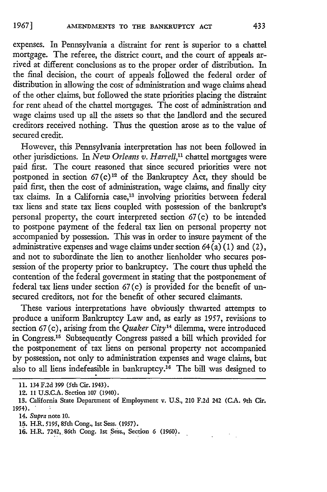expenses. In Pennsylvania a distraint for rent is superior to a chattel mortgage. The referee, the district court, and the court of appeals arrived at different conclusions as to the proper order of distribution. In the final decision, the court of appeals followed the federal order of distribution in allowing the cost of administration and wage claims ahead of the other claims, but followed the state priorities placing the distraint for rent ahead of the chattel mortgages. The cost of administration and wage claims used up all the assets so that the landlord and the secured creditors received nothing. Thus the question arose as to the value of secured credit.

However, this Pennsylvania interpretation has not been followed in other jurisdictions. In *New Orleans v. Harrell,"* chattel mortgages were paid first. The court reasoned that since secured priorities were not postponed in section  $67(c)^{12}$  of the Bankruptcy Act, they should be paid first, then the cost of administration, wage claims, and finally city tax claims. In a California case, 13 involving priorities between federal tax liens and state tax liens coupled with possession of the bankrupt's personal property, the court interpreted section 67 (c) to be intended to postpone payment of the federal tax lien on personal property not accompanied by possession. This was in order to insure payment of the administrative expenses and wage claims under section  $64(a)(1)$  and  $(2)$ , and not to subordinate the lien to another lienholder who secures possession of the property prior to bankruptcy. The court thus upheld the contention of the federal goverment in stating that the postponement of federal tax liens under section 67 (c) is provided for the benefit of unsecured creditors, not for the benefit of other secured claimants.

These various interpretations have obviously thwarted attempts to produce a uniform Bankruptcy Law and, as early as 1957, revisions to section 67 (c), arising from the *Quaker City'4* dilemma, were introduced in Congress. 15 Subsequently Congress passed a bill which provided for the postponement of tax liens on personal property not accompanied by possession, not only to administration expenses and wage claims, but also to all liens indefeasible in bankruptcy.<sup>16</sup> The bill was designed to

**<sup>11.</sup>** 134 **F.2d 399** (5th Cir. 1943).

<sup>12. 11</sup> U.S.C.A. Section 107 (1940).

<sup>13.</sup> California State Department of Employment v. U.S., 210 F.2d 242 (CA. 9th Cir. 1954). **'**

<sup>14.</sup> *Supra* note 10.

<sup>15.</sup> H.R. 5195, 85th Cong., 1st Sess. (1957).

<sup>16.</sup> H.R. 7242,, 86th Cong. 1st Sess., Section 6 (1960).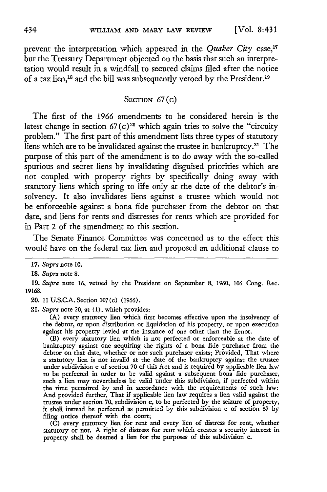**[Vol. 8:431**

prevent the interpretation which appeared in the *Quaker City* case,<sup>17</sup> but the Treasury Department objected on the basis that such an interpretation would result in a windfall to secured claims filed after the notice of a tax lien,<sup>18</sup> and the bill was subsequently vetoed by the President.<sup>19</sup>

#### SECTION  $67(c)$

The first of the 1966 amendments to be considered herein is the latest change in section 67(c)<sup>20</sup> which again tries to solve the "circuity problem." The first part of this amendment lists three types of statutory liens which are to be invalidated against the trustee in bankruptcy.<sup>21</sup> The purpose of this part of the amendment is to do away with the so-called spurious and secret liens by invalidating disguised priorities which are not coupled with property rights by specifically doing away with statutory liens which spring to life only at the date of the debtor's insolvency. It also invalidates liens against a trustee which would not be enforceable against a bona fide purchaser from the debtor on that date, and liens for rents and distresses for rents which are provided for in Part 2 of the amendment to this section.

The Senate Finance Committee was concerned as to the effect this would have on the federal tax lien and proposed an additional clause to

**20.** 11 **U.S.C.A.** Section 107(c) **(1966).**

21. *Supra* note 20, at **(1),** which provides:

**(A)** every statutory lien which first becomes effective upon the insolvency of the debtor, or upon distribution or liquidation of his property, or upon execution against his property levied at the instance of one other than the lienor.

(B) every statutory lien which is not perfected or enforceable at the date of bankruptcy against one acquiring the rights of a bona fide purchaser from the debtor on that date, whether or not such purchaser exists; Provided, That where a statutory lien is not invalid at the date of the bankruptcy against the trustee under subdivision c of section **70** of this Act and is required **by** applicable lien law to be perfected in order to be valid against a subsequent bona fide purchaser, such a lien may nevertheless be valid under this subdivision, **if** perfected within the time permitted **by** and in accordance with the requirements of such law: And provided further, That if applicable lien law requires a lien valid against the trustee under section **70,** subdivision c, to **be** perfected **by** the seizure of property, **it** shall instead be perfected as permitted **by** this subdivision c of section 67 by filing notice thereof with the court;

**(C)** every statutory lien for rent and every lien of distress for rent, whether statutory or not. A right of distress for rent which creates a security interest in property shall be deemed a lien for the purposes of this subdivision c.

**<sup>17.</sup>** *Supra* note **10.**

**<sup>18.</sup>** *Supra* note **8.**

**<sup>19.</sup>** *Supra* note **16,** vetoed **by** the President on September **8, 1960,** *106* Cong. Rec. **19168.**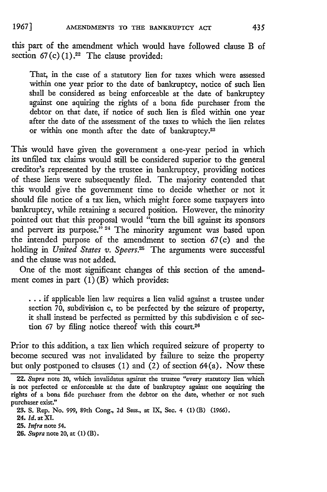this part of the amendment which would have followed clause B of section  $67(c)(1).^{22}$  The clause provided:

That, in the case of a statutory lien for taxes which were assessed within one year prior to the date of bankruptcy, notice of such lien shall be considered as being enforceable at the date of bankruptcy against one aquiring the rights of a bona fide purchaser from the debtor on that date, if notice of such lien is filed within one year after the date of the assessment of the taxes to which the lien relates or within one month after the date of bankruptcy.<sup>23</sup>

This would have given the government a one-year period in which its unfiled tax claims would still be considered superior to the general creditor's represented by the trustee in bankruptcy, providing notices of these liens were subsequently filed. The majority contended that this would give the government time to decide whether or not it should file notice of a tax lien, which might force some taxpayers into bankruptcy, while retaining a secured position. However, the minority pointed out that this proposal would "turn the bill against its sponsors and pervert its purpose."<sup>24</sup> The minority argument was based upon the intended purpose of the amendment to section 67(c) and the holding in *United States v. Speers*.<sup>25</sup> The arguments were successful and the clause was not added.

One of the most significant changes of this section of the amendment comes in part  $(1)$  (B) which provides:

**...** if applicable lien law requires a lien valid against a trustee under section 70, subdivision c, to be perfected by the seizure of property, it shall instead be perfected as permitted by this subdivision c of section 67 by filing notice thereof with this court.<sup>26</sup>

Prior to this addition, a tax lien which required seizure of property to become secured was not invalidated by failure to seize the property but only postponed to clauses  $(1)$  and  $(2)$  of section 64 $(a)$ . Now these

**26.** *Supra* note 20, at **(1)** (B).

<sup>22.</sup> *Supra* note 20, which invalidates against the trustee "every statutory lien which is not perfected or enforceable at the date of bankruptcy against one acquiring the rights of a bona fide purchaser from the debtor on the date, whether or not such purchaser exist."

**<sup>23.</sup>** S. Rep. No. 999, 89th Cong., 2d Sess., at IX, Sec. 4 **(1)** (B) (1966).

<sup>24.</sup> *Id.* at XI.

**<sup>25.</sup>** *Infra* note 54.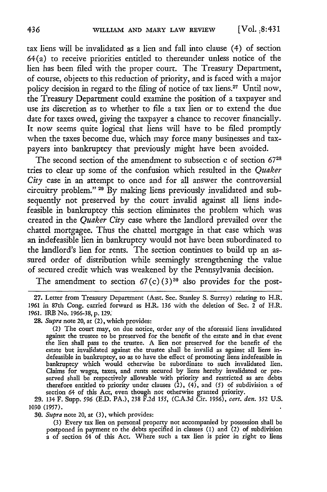tax liens will be invalidated as a lien and fall into clause (4) of section 64(a) to receive priorities entitled to thereunder unless notice of the lien has been filed with the proper court. The Treasury Department, of course, objects to this reduction of priority, and is faced with a major policy decision in regard to the filing of notice of tax liens.27 Until now, the Treasury Department could examine the position of a taxpayer and use its discretion as to whether to file a tax lien or to extend the due date for taxes owed, giving the taxpayer a chance to recover financially. It now seems quite logical that liens will have to be filed promptly when the taxes become due, which may force many businesses and taxpayers into bankruptcy that previously might have been avoided.

The second section of the amendment to subsection c of section 67<sup>28</sup> tries to clear up some of the confusion which resulted in the *Quaker City* case in an attempt to once and for all answer the controversial circuitry problem." <sup>29</sup> By making liens previously invalidated and subsequently not preserved by the court invalid against all liens indefeasible in bankruptcy this section eliminates the problem which was created in the *Quaker City* case where the landlord prevailed over the chattel mortgagee. Thus the chattel mortgage in that case which was an indefeasible lien in bankruptcy would not have been subordinated to the landlord's lien for rents. The section continues to build up an assured order of distribution while seemingly strengthening the value of secured credit which was weakened by the Pennsylvania decision.

The amendment to section 67(c) (3)<sup>30</sup> also provides for the post-

30. *Supra* note 20, at (3), which provides:

(3) Every tax lien on personal property not accompanied by possession shall be postponed in payment to the debts specified in clauses (1) and (2) of subdivision a of section 64 of this Act. Where such a tax lien is prior in right to liens

<sup>27.</sup> Letter from Treasury Department (Asst. Sec. Stanley S. Surrey) relating to H.R. 1961 in 87th Cong. carried forward as H.R. 136 with the deletion of Sec. 2 of H.R. 1961. *IRE* No. 1966-38, p. 129.

**<sup>28.</sup>** *Supra* note 20, at (2), which provides:

<sup>(2)</sup> The court may, on due notice, order any of the aforesaid liens invalidated against the trustee to be preserved for the benefit of the estate and in that event the lien shall pass to the trustee. A lien not preserved for the benefit of the estate but invalidated against the trustee shall be invalid as against all liens indefeasible in bankruptcy, so as to have the effect of promoting liens indefeasible in bankruptcy which would otherwise be subordinate to such invalidated lien. Claims for wages, taxes, and rents secured by liens hereby invalidated or preserved shall be respectively allowable with priority and restricted as are debts therefore entitled to priority under clauses (2), (4), and *(5)* of subdivision a of section 64 of this Act, even though not otherwise granted priority.

<sup>29. 134</sup> F. Supp. *596* (ED. PA.), 238 F.2d *155,* (C.A.3d Cir. 1956), *cert. den.* 352 U.S. 1030 (1957).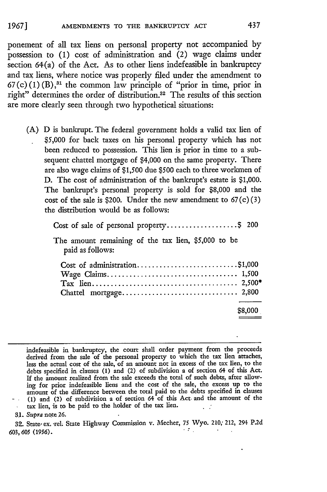ponement of all tax liens on personal property not accompanied by possession to (1) cost of administration and (2) wage claims under section 64(a) of the Act. As to other liens indefeasible in bankruptcy and tax liens, where notice was properly filed under the amendment to  $67(c) (1) (B)$ ,<sup>31</sup> the common law principle of "prior in time, prior in right" determines the order of distribution.<sup>32</sup> The results of this section are more clearly seen through two hypothetical situations:

(A) D is bankrupt. The federal government holds a valid tax lien of \$5,000 for back taxes on his personal property which has not been reduced to possession. This lien is prior in time to a subsequent chattel mortgage of \$4,000 on the same property. There are also wage claims of \$1,500 due \$500 each to three workmen of D. The cost of administration of the bankrupt's estate is \$1,000. The bankrupt's personal property is sold for \$8,000 and the cost of the sale is \$200. Under the new amendment to  $67(c)(3)$ the distribution would be as follows:

| Cost of sale of personal property\$ 200                                 |         |
|-------------------------------------------------------------------------|---------|
| The amount remaining of the tax lien, \$5,000 to be<br>paid as follows: |         |
| Cost of administration\$1,000                                           |         |
|                                                                         | \$8,000 |

indefeasible in bankruptcy, the court shall order payment from the proceeds derived from the sale of the personal property to which the tax lien attaches less the actual cost of the sale, of an amount not in excess of the tax lien, to the debts specified in clauses **(1)** and (2) of subdivision a of section 64 of this Act. If the amount realized from the sale exceeds the total of such debts, after allowing for prior indefeasible liens and the cost of the sale, the excess up to the amount of the difference between the total paid to the debts specified in clauses (1) and (2) of subdivision a of section 64 of this Act. and the amount of the

tax lien, is to be paid to the holder of the tax lien.

**31.** *Supra* note **26.**

**32.** State, ex. rel. State Highway Commission v. Mecher, *75* Wyo. 210; 212, 294 **P.2d** *603,605 (1956).*

437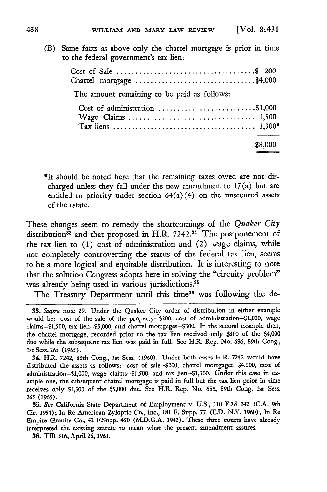(B) Same facts as above only the chattel mortgage is prior in time

| to the federal government's tax lien:       |         |
|---------------------------------------------|---------|
| Chattel mortgage \$4,000                    |         |
| The amount remaining to be paid as follows: |         |
| Cost of administration \$1,000              |         |
|                                             | \$8,000 |

\*It should be noted here that the remaining taxes owed are not discharged unless they fall under the new amendment to 17(a) but are entitled to priority under section  $64(a)(4)$  on the unsecured assets of the estate.

These changes seem to remedy the shortcomings of the *Quaker City* distribution<sup>33</sup> and that proposed in H.R. 7242.<sup>34</sup> The postponement of the tax lien to  $(1)$  cost of administration and  $(2)$  wage claims, while not completely controverting the status of the federal tax lien, seems to be a more logical and equitable distribution. It is interesting to note that the solution Congress adopts here in solving the "circuity problem" was already being used in various jurisdictions.<sup>35</sup>

The Treasury Department until this time<sup>36</sup> was following the de-

*<sup>33.</sup> Supra* note 29. Under the Quaker City order of distribution in either example would be: cost of the sale of the property-\$200, cost of administration-\$1,000, wage claims-\$1,500, tax lien-S5,000, and chattel mortgages-S300. In the second example then, the chattel mortgage, recorded prior to the tax lien received only \$300 of the \$4,000 due while the subsequent tax lien was paid in full. See H.R. Rep. No. 686, 89th Cong., 1st Sess. *265* (1965).

<sup>34.</sup> H.R. 7242, 86th Cong., 1st Sess. (1960). Under both cases H.R. 7242 would have distributed the assets as follows: cost of sale-\$200, chattel mortgage& .4,000, cost **of** administration-S1,000, wage claims-\$1,500, and tax lien-1,300. Under this case **in** example one, the subsequent chattel mortgage is paid in full but the tax lien prior in time receives only **\$1,300** of the **\$5,000** due. See H.R. Rep. No. **686,** 89th Cong. Ist Sess. *265 (1965).*

**<sup>35.</sup>** *See* California State Department of Employment v. U.S., 210 **F.2d** 242 (C.A. 9th Cir. 1954); In Re American Zyloptic Co., Inc., 181 F. Supp. 77 **(ED.** N.Y. 1960); In Re Empire Granite Co., 42 F.Supp. 450 (MD.G.A. 1942). These three courts have already interpreted the existing statute to mean what the present amendment assures.

**<sup>36.</sup>** TIR 316, April 26, 1961.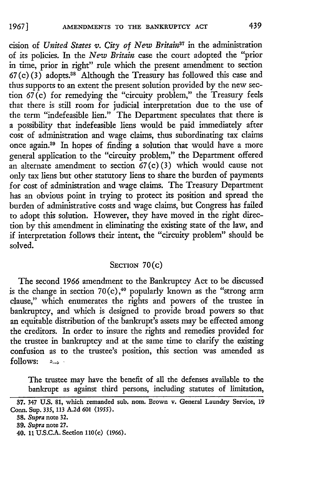cision of *United States v. City of New Britain*<sup>37</sup> in the administration of its policies. In the *New Britain* case the court adopted the "prior in time, prior in right" rule which the present amendment to section  $67(c)(3)$  adopts.<sup>38</sup> Although the Treasury has followed this case and thus supports to an extent the present solution provided by the new section  $67(c)$  for remedying the "circuity problem," the Treasury feels that there is still room for judicial interpretation due to the use of the term "indefeasible lien." The Department speculates that there is a possibility that indefeasible liens would be paid immediately after cost of administration and wage claims, thus subordinating tax claims once again.89 In hopes of finding a solution that would have a more general application to the "circuity problem," the Department offered an alternate amendment to section  $67(c)(3)$  which would cause not only tax liens but other statutory liens to share the burden of payments for cost of administration and wage claims. The Treasury Department has an obvious point in trying to protect its position and spread the burden of administrative costs and wage claims, but Congress has failed to adopt this solution. However, they have moved in the right direction by this amendment in eliminating the existing state of the law, and if interpretation follows their intent, the "circuity problem" should be solved.

## **SECTION** 70(c)

The second 1966 amendment to the Bankruptcy Act to be discussed is the change in section 70(c),<sup>40</sup> popularly known as the "strong arm clause," which enumerates the rights and powers of the trustee in bankruptcy, and which is designed to provide broad powers so that an equitable distribution of the bankrupt's assets may be effected among the creditors. In order to insure the rights and remedies provided for the trustee in bankruptcy and at the same time to clarify the existing confusion as to the trustee's position, this section was amended as  $follows:$   $\longrightarrow$ 

The trustee may have the benefit of all the defenses available to the bankrupt as against third persons, including statutes of limitation,

**<sup>37.</sup>** 347 **U.S. 81, which remanded** sub. nom. **Brown v. General Laundry** Service, **19** Conn. Sup. **335, 113 A.2d 601** *(1955).*

**<sup>38.</sup>** *Supra* note **32.**

*<sup>39.</sup> Supra* note **27.**

<sup>40.</sup> **11** US.CA. Section **110(c) (1966).**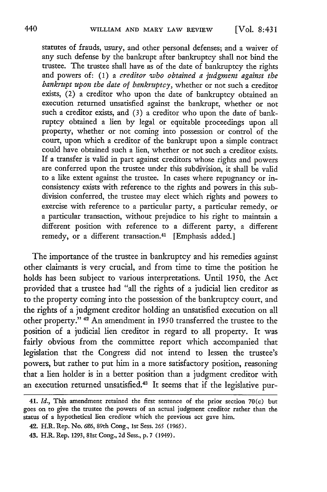statutes of frauds, usury, and other personal defenses; and a waiver of any such defense by the bankrupt after bankruptcy shall not bind the trustee. The trustee shall have as of the date of bankruptcy the rights and powers of: (1) a *creditor who obtained a judgment against the bankrupt upon the date of bankruptcy,* whether or not such a creditor exists, (2) a creditor who upon the date of bankruptcy obtained an execution returned unsatisfied against the bankrupt, whether or not such a creditor exists, and (3) a creditor who upon the date of bankruptcy obtained a lien by legal or equitable proceedings upon all property, whether or not coming into possession or control of the court, upon which a creditor of the bankrupt upon a simple contract could have obtained such a lien, whether or not such a creditor exists. If a transfer is valid in part against creditors whose rights and powers are conferred upon the trustee under this subdivision, it shall be valid to a like extent against the trustee. In cases where repugnancy or inconsistency exists with reference to the rights and powers in this subdivision conferred, the trustee may elect which rights and powers to exercise with reference to a particular party, a particular remedy, or a particular transaction, without prejudice to his right to maintain a different position with reference to a different party, a different remedy, or a different transaction.<sup>41</sup> [Emphasis added.]

The importance of the trustee in bankruptcy and his remedies against other claimants is very crucial, and from time to time the position he holds has been subject to various interpretations. Until 1950, the Act provided that a trustee had "all the rights of a judicial lien creditor as to the property coming into the possession of the bankruptcy court, and the rights of a judgment creditor holding an unsatisfied execution on all other property." <sup>42</sup> An amendment in 1950 transferred the trustee to the position of a judicial lien creditor in regard to all property. It was fairly obvious from the committee report which accompanied that legislation that the Congress did not intend to lessen the trustee's powers, but rather to put him in a more satisfactory position, reasoning that a lien holder is in a better position than a judgment creditor with an execution returned unsatisfied.43 It seems that if the legislative pur-

<sup>41.</sup> *Id.,* This amendment retained the first sentence of the prior section 70(c) but goes on to give the trustee the powers of an actual judgment creditor rather than the status of a hypothetical lien creditor which the previous act gave him.

<sup>42.</sup> H.R. Rep. No. 686, 89th Cong., 1st Sess. 265 (1965).

*<sup>43.</sup>* H.R. Rep. 1293, 81st Cong., 2d Sess., p. 7 (1949).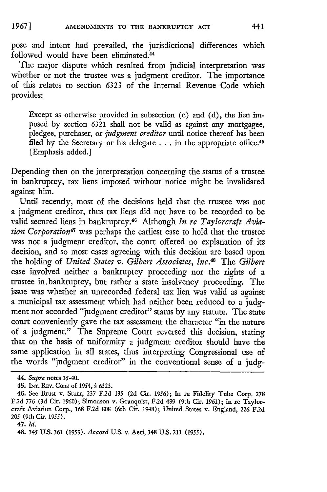pose and intent had prevailed, the jurisdictional differences which followed would have been eliminated.<sup>44</sup>

The major dispute which resulted from judicial interpretation was whether or not the trustee was a judgment creditor. The importance of this relates to section 6323 of the Internal Revenue Code which provides:

Except as otherwise provided in subsection (c) and **(d),** the lien imposed by section 6321 shall not be valid as against any mortgagee, pledgee, purchaser, or *judgment creditor* until notice thereof has been filed by the Secretary or his delegate . . . in the appropriate office.<sup>45</sup> [Emphasis added.]

Depending then on the interpretation concerning the status of a trustee in bankruptcy, tax liens imposed without notice might be invalidated against him.

Until recently, most of the decisions held that the trustee was not a judgment creditor, thus tax liens did not have to be recorded to be valid secured liens in bankruptcy.46 Although *In re Taylorcraft Aviation Corporation47* was perhaps the earliest case to hold that the trustee was not a judgment creditor, the court offered no explanation of its decision, and so most cases agreeing with this decision are based upon the holding of *United States v. Gilbert Associates, Inc. <sup>48</sup>*The *Gilbert* case involved neither a bankruptcy proceeding nor the rights of a trustee in.bankruptcy, but rather a state insolvency proceeding. The issue was whether an unrecorded federal tax lien was valid as against a municipal tax assessment which had neither been reduced to a judgment nor accorded "judgment creditor" status by any statute. The state court conveniently gave the tax assessment the character "in the nature of a judgment." The Supreme Court reversed this decision, stating that on the basis of uniformity a judgment creditor should have the same application in all states, thus interpreting Congressional use of the words "judgment creditor" in the conventional sense of a judg-

*<sup>44.</sup> Supra* notes 35-40.

<sup>45.</sup> INT. REv. **CODE** of 1954, § 6323.

<sup>46.</sup> See Brust v. Sturr, 237 F.2d *135* (2d Cir. 1956); In re Fidelity Tube Corp. **278 F.2d** 776 (3d Cir. 1960); Simonson v. Granquist, F.2d 489 (9th Cir. **1961);** In re Taylorcraft Aviation Corp., 168 F.2d 808 (6th Cir. 1948); United States v. England, 226 F.2d 205 (9th Cir. 1955).

<sup>47.</sup> *Id.*

<sup>48. 345</sup> **U.S.** *361* **(1953).** *Accord* **U.S.** v. Aeri, 348 **U.S.** 211 **(1955).**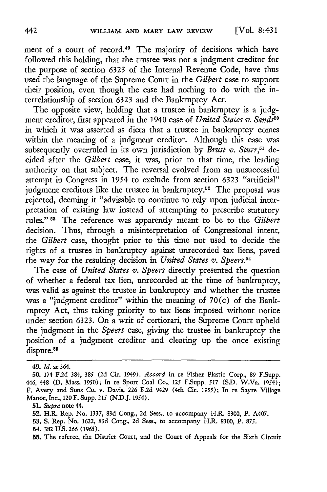ment of a court of record.49 The majority of decisions which have followed this holding, that the trustee was not a judgment creditor for the purpose of section **6323** of the Internal Revenue Code, have thus used the language of the Supreme Court in the *Gilbert* case to support their position, even though the case had nothing to do with the interrelationship of section **6323** and the Bankruptcy Act.

The opposite view, holding that a trustee in bankruptcy is a **judg**ment creditor, first appeared in the 1940 case of *United States v. Sands5 "* in which it was asserted as dicta that a trustee in bankruptcy comes within the meaning of a judgment creditor. Although this case was subsequently overruled in its own jurisdiction **by** *Brust v. Sturr,51* decided after the *Gilbert* case, it was, prior to that time, the leading authority on that subject. The reversal evolved from an unsuccessful attempt in Congress in 1954 to exclude from section **6323** "artificial" judgment creditors like the trustee in bankruptcy.<sup>52</sup> The proposal was rejected, deeming it "advisable to continue to rely upon judicial interpretation of existing law instead of attempting to prescribe statutory rules." **11** The reference was apparently meant to be to the *Gilbert* decision. Thus, through a misinterpretation of Congressional intent, the *Gilbert* case, thought prior to this time not used to decide the rights of a trustee in bankruptcy against unrecorded tax liens, paved the way for the resulting decision in *United States v. Speers.5 <sup>4</sup>*

The case of *United States v. Speers* directly presented the question of whether a federal tax lien, unrecorded at the time of bankruptcy, was valid as against the trustee in bankruptcy and whether the trustee was a "judgment creditor" within the meaning of 70(c) of the Bankruptcy Act, thus taking priority to tax liens imposed without notice under section 6323. On a writ of certiorari, the Supreme Court upheld the judgment in the *Speers* case, giving the trustee in bankruptcy the position of a judgment creditor and clearing up the once existing dispute.<sup>55</sup>

<sup>49.</sup> *Id.* at 364.

**<sup>50.</sup>** 174 **F.2d** 384, **385 (2d** Cir. 1949). *Accord* In re Fisher Plastic Corp., **89** F.Supp. 446, 448 **(D.** Mass. **1950);** In re Sport Coal Co., **125** F.Supp. **517 (S.D.** W.Va. 1054); F. Avery and Sons Co. v. Davis, **226 F.2d** 9429 (4th Cir. **1955);** In re Sayre Village Manor, Inc, 120 F. Supp. **215 (N.D.J.** 1954).

**<sup>51.</sup>** *Supra* note 44.

**<sup>52.</sup>** H.R. Rep. No. **1337, 83d** Cong., **2d** Sess., to accompany H.R. **8300,** P. A407.

**<sup>53.</sup> S.** Rep. No. **1622, 83d** Cong., **2d** Sess., to accompany H.R. **8300,** P. **875.**

<sup>54. 382</sup> **U.S.** *266 (1965).*

**<sup>55.</sup>** The referee, the District Court, and the Court of Appeals for the Sixth Circuit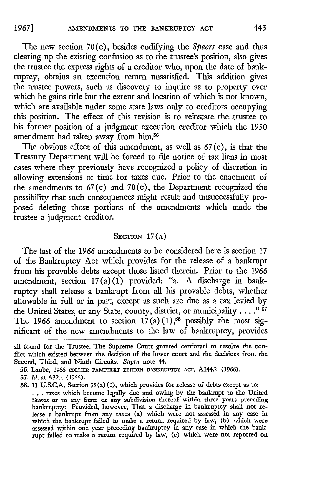The new section 70(c), besides codifying the *Speers* case and thus clearing up the existing confusion as to the trustee's position, also gives the trustee the express rights of a creditor who, upon the date of bankruptcy, obtains an execution return unsatisfied. This addition gives the trustee powers, such as discovery to inquire as to property over which he gains title but the extent and location of which is not known, which are available under some state laws only to creditors occupying this position. The effect of this revision is to reinstate the trustee to his former position of a judgment execution creditor which the 1950 amendment had taken away from him.<sup>56</sup>

The obvious effect of this amendment, as well as 67 (c), is that the Treasury Department will be forced to file notice of tax liens in most cases where they previously have recognized a policy of discretion in allowing extensions of time for taxes due. Prior to the enactment of the amendments to 67(c) and 70(c), the Department recognized the possibility that such consequences might result and unsuccessfully proposed deleting those portions of the amendments which made the trustee a judgment creditor.

#### SECTION 17(A)

The last of the 1966 amendments to be considered here is section 17 of the Bankruptcy Act which provides for the release of a bankrupt from his provable debts except those listed therein. Prior to the 1966 amendment, section  $17(a)$  (1) provided: "a. A discharge in bankruptcy shall release a bankrupt from all his provable debts, whether allowable in full or in part, except as such are due as a tax levied by the United States, or any State, county, district, or municipality . . . . "<sup>57</sup> The 1966 amendment to section 17(a) (1),<sup>58</sup> possibly the most significant of the new amendments to the law of bankruptcy, provides

all found for the Trustee. The Supreme Court granted certiorari to resolve the conflict which existed between the decision of the lower court and the decisions from the Second, Third, and Ninth Circuits. *Supra* note 44.

<sup>56.</sup> Laube, 1966 **cOLLIER PAMPHLET EDITION BANKRUPTCY ACT,** A1442 **(1966).**

<sup>57.</sup> **Id.** at A32.1 (1966).

**<sup>58.</sup>** 11 U.S.C.A. Section 35(a) (1), which provides for release of debts except as to: **...** taxes which become legally due and owing by the bankrupt to the United

States or to any State or any subdivision thereof within three years preceding bankruptcy: Provided, however, That a discharge in bankruptcy shall not release a bankrupt from any taxes (a) which were not assessed in any case in which the bankrupt failed to make a return required by law, **(b)** which were assessed within one year preceding bankruptcy in any case in which the bankrupt failed to make a return required by law, (c) which were not reported on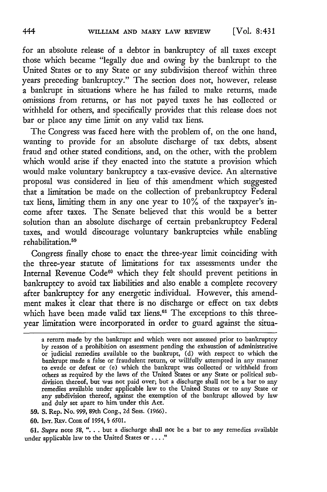for an absolute release of a debtor in bankruptcy of all taxes except those which became "legally due and owing by the bankrupt to the United States or to any State or any subdivision thereof within three years preceding bankruptcy." The section does not, however, release a bankrupt in situations where he has failed to make returns, made omissions from returns, or has not payed taxes he has collected or withheld for others, and specifically provides that this release does not bar or place any time limit on any valid tax liens.

The Congress was faced here with the problem of, on the one hand, wanting to provide for an absolute discharge of tax debts, absent fraud and other stated conditions, and, on the other, with the problem which would arise if they enacted into the statute a provision which would make voluntary bankruptcy a tax-evasive device. An alternative proposal was considered in lieu of this amendment which suggested that a limitation be made on the collection of prebankruptcy Federal tax liens, limiting them in any one year to **10%** of the taxpayer's income after taxes. The Senate believed that this would be a better solution than an absolute discharge of certain prebankruptcy Federal taxes, and would discourage voluntary bankruptcies while enabling rehabilitation.<sup>59</sup>

Congress finally chose to enact the three-year limit coinciding with the three-year statute of limitations for tax assessments under the Internal Revenue Code<sup>60</sup> which they felt should prevent petitions in bankruptcy to avoid tax liabilities and also enable a complete recovery after bankruptcy for any energetic individual. However, this amendment makes it clear that there **is** no discharge or effect on tax debts which have been made valid tax liens.<sup>61</sup> The exceptions to this threeyear limitation were incorporated in order to guard against the situa-

- **59. S.** Rep. No. **999,** 89th Cong., **2d** Sess. **(1966).**
- *60.* INr.RFv. CODE **of** 1954, *§* **6501.**

**61.** *Supra* note **58,** ". **.** . but a discharge shall not be a bar to any remedies available under applicable law to the United States or .... **"**

a return made **by** the bankrupt and which were not assessed prior to bankruptcy by reason of a prohibition on assessment pending the exhaustion of administrative or judicial remedies available to the bankrupt, **(d)** with respect to which the bankrupt made a false or fraudulent return, or willfully attempted in any manner to evade or defeat or (e) which the bankrupt was collected or withheld from others as required by the laws of the United States or any State or political subdivision thereof, but was not paid over; but a discharge shall not be a bar to any remedies available under applicable law to the United States or to any State or any subdivision thereof, against the exemption of the bankrupt allowed **by** law and duly set apart to him under this Act.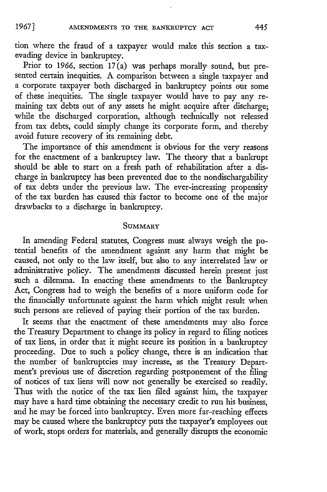tion where the fraud of a taxpayer would make this section a taxevading device in bankruptcy.

Prior to 1966, section 17(a) was perhaps morally sound, but presented certain inequities. A comparison between a single taxpayer and a corporate taxpayer both discharged in bankruptcy points out some of these inequities. The single taxpayer would have to pay any remaining tax debts out of any assets he might acquire after discharge; while the discharged corporation, although technically not released from tax debts, could simply change its corporate form, and thereby avoid future recovery of its remaining debt.

The importance of this amendment is obvious for the very reasons for the enactment of a bankruptcy law. The theory that a bankrup should be able to start on a fresh path of rehabilitation after a discharge in bankruptcy has been prevented due to the nondischargabiity of tax debts under the previous law. The ever-increasing propensity of the tax burden has caused this factor to become one of the major drawbacks to a discharge in bankruptcy.

#### SUMMARY

In amending Federal statutes, Congress must always weigh the potential benefits of the amendment against any harm that might be caused, not only to the law itself, but also to any interrelated law or administrative policy. The amendments discussed herein present just such a dilemma. In enacting these amendments to the Bankruptcy Act, Congress had to weigh the benefits of a more uniform code for the financially unfortunate against the harm which might result when such persons are relieved of paying their portion of the tax burden.

It seems that the enactment of these amendments may also force the Treasury Department to change its policy in regard to filing notices of tax liens, in order that it might secure its position in a bankruptcy proceeding. Due to such a policy change, there is an indication that the number of bankruptcies may increase, as the Treasury Department's previous use of discretion regarding postponement of the filing of notices of tax liens will now not generally be exercised so readily. Thus with the notice of the tax lien filed against him, the taxpayer may have a hard time obtaining the necessary credit to run his business, and he may be forced into bankruptcy. Even more far-reaching effects may be caused where the bankruptcy puts the taxpayer's employees out of work, stops orders for materials, and generally disrupts the economic